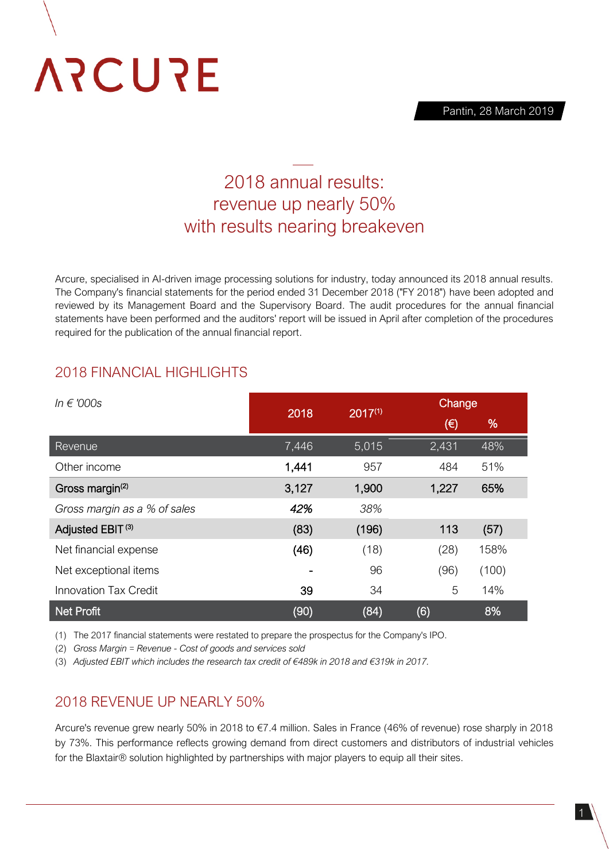Pantin, 28 March 2019

# **ARCURE**

# 2018 annual results: revenue up nearly 50% with results nearing breakeven

Arcure, specialised in AI-driven image processing solutions for industry, today announced its 2018 annual results. The Company's financial statements for the period ended 31 December 2018 ("FY 2018") have been adopted and reviewed by its Management Board and the Supervisory Board. The audit procedures for the annual financial statements have been performed and the auditors' report will be issued in April after completion of the procedures required for the publication of the annual financial report.

## 2018 FINANCIAL HIGHLIGHTS

| In $\epsilon$ '000s          | 2018  | $2017^{(1)}$ | Change  |       |
|------------------------------|-------|--------------|---------|-------|
|                              |       |              | $(\in)$ | %     |
| Revenue                      | 7,446 | 5,015        | 2,431   | 48%   |
| Other income                 | 1,441 | 957          | 484     | 51%   |
| Gross margin <sup>(2)</sup>  | 3,127 | 1,900        | 1,227   | 65%   |
| Gross margin as a % of sales | 42%   | 38%          |         |       |
| Adjusted EBIT <sup>(3)</sup> | (83)  | (196)        | 113     | (57)  |
| Net financial expense        | (46)  | (18)         | (28)    | 158%  |
| Net exceptional items        |       | 96           | (96)    | (100) |
| <b>Innovation Tax Credit</b> | 39    | 34           | 5       | 14%   |
| <b>Net Profit</b>            | (90)  | (84)         | (6)     | 8%    |

(1) The 2017 financial statements were restated to prepare the prospectus for the Company's IPO.

(2) *Gross Margin = Revenue - Cost of goods and services sold*

(3) *Adjusted EBIT which includes the research tax credit of €489k in 2018 and €319k in 2017.*

### 2018 REVENUE UP NEARLY 50%

Arcure's revenue grew nearly 50% in 2018 to €7.4 million. Sales in France (46% of revenue) rose sharply in 2018 by 73%. This performance reflects growing demand from direct customers and distributors of industrial vehicles for the Blaxtair® solution highlighted by partnerships with major players to equip all their sites.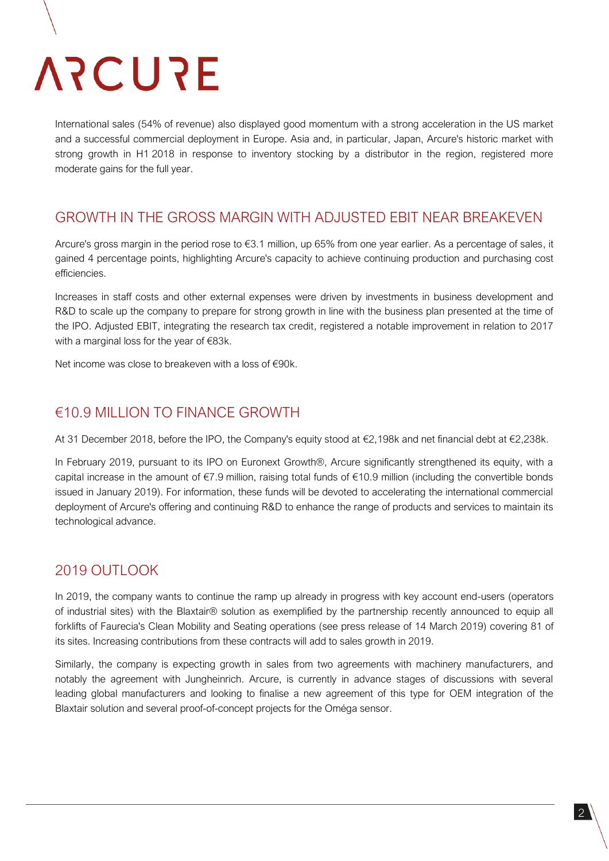# **ARCURE**

International sales (54% of revenue) also displayed good momentum with a strong acceleration in the US market and a successful commercial deployment in Europe. Asia and, in particular, Japan, Arcure's historic market with strong growth in H1 2018 in response to inventory stocking by a distributor in the region, registered more moderate gains for the full year.

#### GROWTH IN THE GROSS MARGIN WITH ADJUSTED EBIT NEAR BREAKEVEN

Arcure's gross margin in the period rose to €3.1 million, up 65% from one year earlier. As a percentage of sales, it gained 4 percentage points, highlighting Arcure's capacity to achieve continuing production and purchasing cost efficiencies.

Increases in staff costs and other external expenses were driven by investments in business development and R&D to scale up the company to prepare for strong growth in line with the business plan presented at the time of the IPO. Adjusted EBIT, integrating the research tax credit, registered a notable improvement in relation to 2017 with a marginal loss for the year of €83k.

Net income was close to breakeven with a loss of €90k.

### €10.9 MILLION TO FINANCE GROWTH

At 31 December 2018, before the IPO, the Company's equity stood at €2,198k and net financial debt at €2,238k.

In February 2019, pursuant to its IPO on Euronext Growth®, Arcure significantly strengthened its equity, with a capital increase in the amount of €7.9 million, raising total funds of €10.9 million (including the convertible bonds issued in January 2019). For information, these funds will be devoted to accelerating the international commercial deployment of Arcure's offering and continuing R&D to enhance the range of products and services to maintain its technological advance.

### 2019 OUTLOOK

In 2019, the company wants to continue the ramp up already in progress with key account end-users (operators of industrial sites) with the Blaxtair® solution as exemplified by the partnership recently announced to equip all forklifts of Faurecia's Clean Mobility and Seating operations (see press release of 14 March 2019) covering 81 of its sites. Increasing contributions from these contracts will add to sales growth in 2019.

Similarly, the company is expecting growth in sales from two agreements with machinery manufacturers, and notably the agreement with Jungheinrich. Arcure, is currently in advance stages of discussions with several leading global manufacturers and looking to finalise a new agreement of this type for OEM integration of the Blaxtair solution and several proof-of-concept projects for the Oméga sensor.